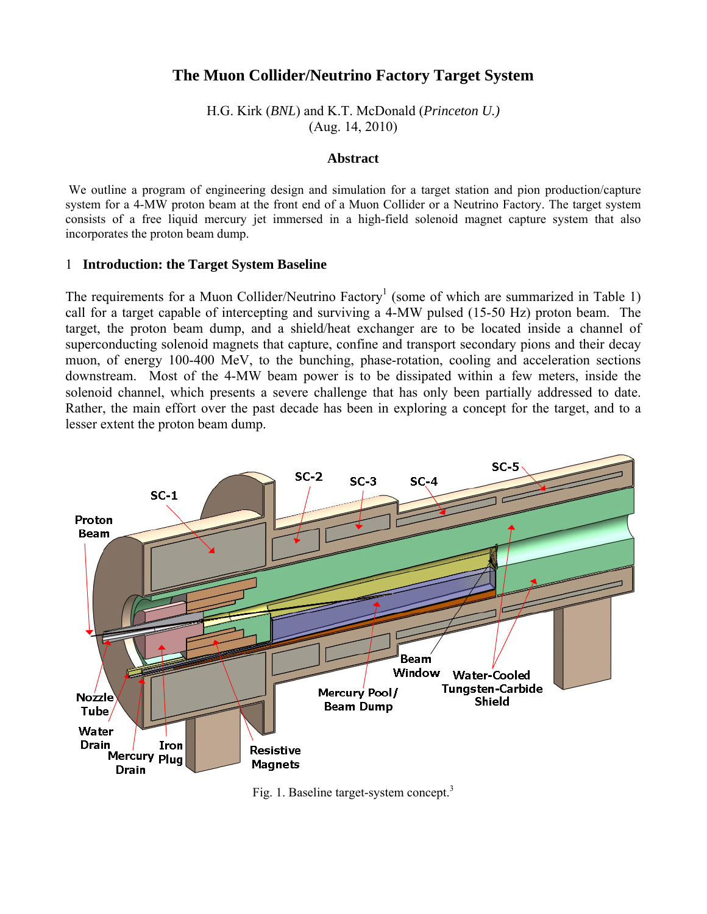# **The Muon Collider/Neutrino Factory Target System**

H.G. Kirk (*BNL*) and K.T. McDonald (*Princeton U.)* (Aug. 14, 2010)

#### **Abstract**

We outline a program of engineering design and simulation for a target station and pion production/capture system for a 4-MW proton beam at the front end of a Muon Collider or a Neutrino Factory. The target system consists of a free liquid mercury jet immersed in a high-field solenoid magnet capture system that also incorporates the proton beam dump.

#### 1 **Introduction: the Target System Baseline**

The requirements for a Muon Collider/Neutrino Factory<sup>1</sup> (some of which are summarized in Table 1) call for a target capable of intercepting and surviving a 4-MW pulsed (15-50 Hz) proton beam. The target, the proton beam dump, and a shield/heat exchanger are to be located inside a channel of superconducting solenoid magnets that capture, confine and transport secondary pions and their decay muon, of energy 100-400 MeV, to the bunching, phase-rotation, cooling and acceleration sections downstream. Most of the 4-MW beam power is to be dissipated within a few meters, inside the solenoid channel, which presents a severe challenge that has only been partially addressed to date. Rather, the main effort over the past decade has been in exploring a concept for the target, and to a lesser extent the proton beam dump.



Fig. 1. Baseline target-system concept.<sup>3</sup>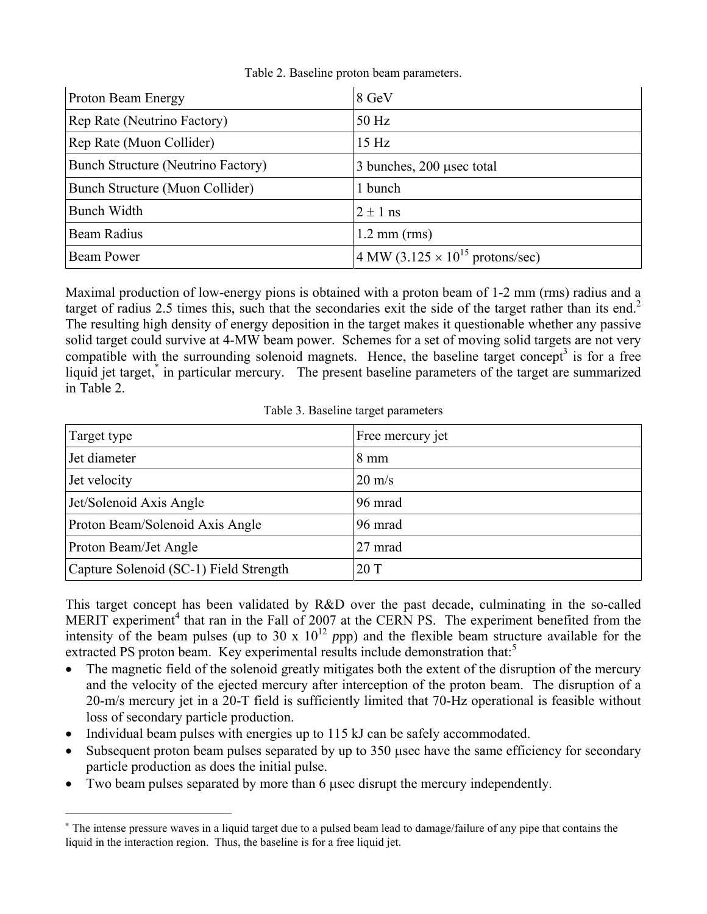| Proton Beam Energy                        | 8 GeV                                              |
|-------------------------------------------|----------------------------------------------------|
| Rep Rate (Neutrino Factory)               | 50 Hz                                              |
| Rep Rate (Muon Collider)                  | 15 Hz                                              |
| <b>Bunch Structure (Neutrino Factory)</b> | 3 bunches, 200 usec total                          |
| Bunch Structure (Muon Collider)           | 1 bunch                                            |
| <b>Bunch Width</b>                        | $2 \pm 1$ ns                                       |
| Beam Radius                               | $1.2 \text{ mm (rms)}$                             |
| <b>Beam Power</b>                         | 4 MW (3.125 $\times$ 10 <sup>15</sup> protons/sec) |

Table 2. Baseline proton beam parameters.

Maximal production of low-energy pions is obtained with a proton beam of 1-2 mm (rms) radius and a target of radius 2.5 times this, such that the secondaries exit the side of the target rather than its end.<sup>2</sup> The resulting high density of energy deposition in the target makes it questionable whether any passive solid target could survive at 4-MW beam power. Schemes for a set of moving solid targets are not very compatible with the surrounding solenoid magnets. Hence, the baseline target concept<sup>3</sup> is for a free liquid jet target,<sup>\*</sup> in particular mercury. The present baseline parameters of the target are summarized in Table 2.

Table 3. Baseline target parameters

| Target type                            | Free mercury jet |
|----------------------------------------|------------------|
| Jet diameter                           | $8 \text{ mm}$   |
| Jet velocity                           | $20 \text{ m/s}$ |
| Jet/Solenoid Axis Angle                | 96 mrad          |
| Proton Beam/Solenoid Axis Angle        | 96 mrad          |
| Proton Beam/Jet Angle                  | 27 mrad          |
| Capture Solenoid (SC-1) Field Strength | 20T              |

This target concept has been validated by R&D over the past decade, culminating in the so-called MERIT experiment<sup>4</sup> that ran in the Fall of 2007 at the CERN PS. The experiment benefited from the intensity of the beam pulses (up to 30 x  $10^{12}$  ppp) and the flexible beam structure available for the extracted PS proton beam. Key experimental results include demonstration that: $<sup>5</sup>$ </sup>

- The magnetic field of the solenoid greatly mitigates both the extent of the disruption of the mercury and the velocity of the ejected mercury after interception of the proton beam. The disruption of a 20-m/s mercury jet in a 20-T field is sufficiently limited that 70-Hz operational is feasible without loss of secondary particle production.
- Individual beam pulses with energies up to 115 kJ can be safely accommodated.

l

- $\bullet$  Subsequent proton beam pulses separated by up to 350 usec have the same efficiency for secondary particle production as does the initial pulse.
- Two beam pulses separated by more than 6 used disrupt the mercury independently.

<sup>\*</sup> The intense pressure waves in a liquid target due to a pulsed beam lead to damage/failure of any pipe that contains the liquid in the interaction region. Thus, the baseline is for a free liquid jet.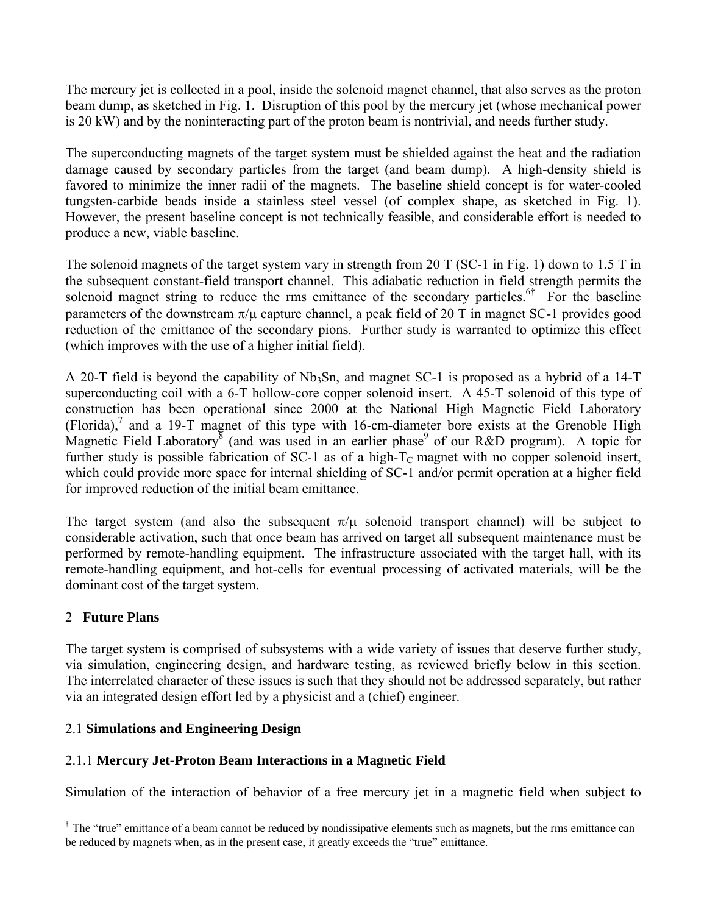The mercury jet is collected in a pool, inside the solenoid magnet channel, that also serves as the proton beam dump, as sketched in Fig. 1. Disruption of this pool by the mercury jet (whose mechanical power is 20 kW) and by the noninteracting part of the proton beam is nontrivial, and needs further study.

The superconducting magnets of the target system must be shielded against the heat and the radiation damage caused by secondary particles from the target (and beam dump). A high-density shield is favored to minimize the inner radii of the magnets. The baseline shield concept is for water-cooled tungsten-carbide beads inside a stainless steel vessel (of complex shape, as sketched in Fig. 1). However, the present baseline concept is not technically feasible, and considerable effort is needed to produce a new, viable baseline.

The solenoid magnets of the target system vary in strength from 20 T (SC-1 in Fig. 1) down to 1.5 T in the subsequent constant-field transport channel. This adiabatic reduction in field strength permits the solenoid magnet string to reduce the rms emittance of the secondary particles.<sup>6†</sup> For the baseline parameters of the downstream  $\pi/\mu$  capture channel, a peak field of 20 T in magnet SC-1 provides good reduction of the emittance of the secondary pions. Further study is warranted to optimize this effect (which improves with the use of a higher initial field).

A 20-T field is beyond the capability of Nb<sub>3</sub>Sn, and magnet SC-1 is proposed as a hybrid of a 14-T superconducting coil with a 6-T hollow-core copper solenoid insert. A 45-T solenoid of this type of construction has been operational since 2000 at the National High Magnetic Field Laboratory (Florida),<sup>7</sup> and a 19-T magnet of this type with 16-cm-diameter bore exists at the Grenoble High Magnetic Field Laboratory<sup>8</sup> (and was used in an earlier phase<sup>9</sup> of our R&D program). A topic for further study is possible fabrication of SC-1 as of a high- $T_c$  magnet with no copper solenoid insert, which could provide more space for internal shielding of SC-1 and/or permit operation at a higher field for improved reduction of the initial beam emittance.

The target system (and also the subsequent  $\pi/\mu$  solenoid transport channel) will be subject to considerable activation, such that once beam has arrived on target all subsequent maintenance must be performed by remote-handling equipment. The infrastructure associated with the target hall, with its remote-handling equipment, and hot-cells for eventual processing of activated materials, will be the dominant cost of the target system.

## 2 **Future Plans**

l

The target system is comprised of subsystems with a wide variety of issues that deserve further study, via simulation, engineering design, and hardware testing, as reviewed briefly below in this section. The interrelated character of these issues is such that they should not be addressed separately, but rather via an integrated design effort led by a physicist and a (chief) engineer.

## 2.1 **Simulations and Engineering Design**

# 2.1.1 **Mercury Jet-Proton Beam Interactions in a Magnetic Field**

Simulation of the interaction of behavior of a free mercury jet in a magnetic field when subject to

 $\dagger$  The "true" emittance of a beam cannot be reduced by nondissipative elements such as magnets, but the rms emittance can be reduced by magnets when, as in the present case, it greatly exceeds the "true" emittance.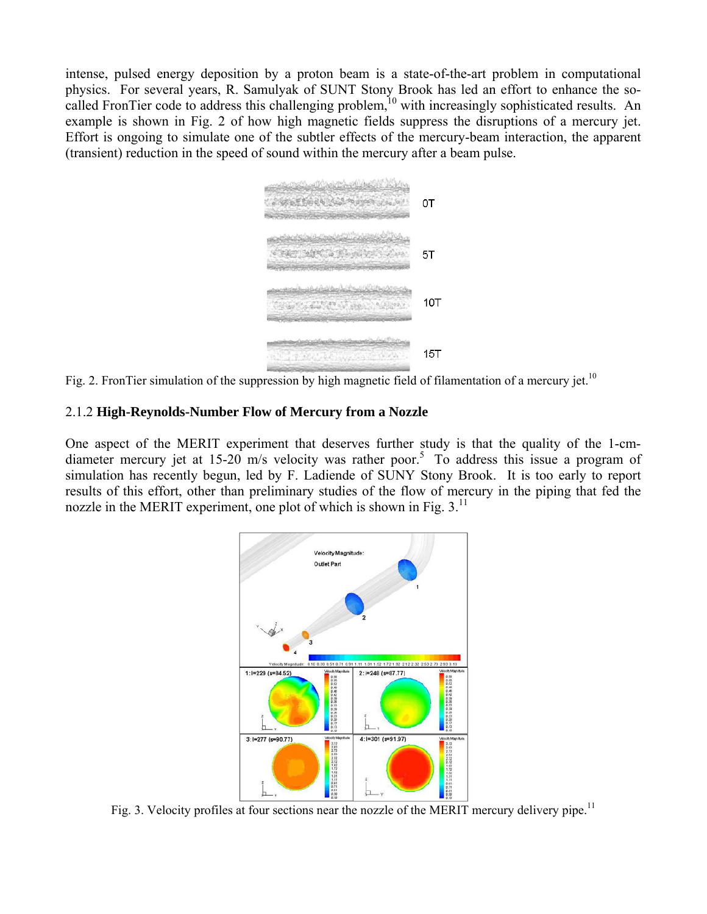intense, pulsed energy deposition by a proton beam is a state-of-the-art problem in computational physics. For several years, R. Samulyak of SUNT Stony Brook has led an effort to enhance the socalled FronTier code to address this challenging problem,<sup>10</sup> with increasingly sophisticated results. An example is shown in Fig. 2 of how high magnetic fields suppress the disruptions of a mercury jet. Effort is ongoing to simulate one of the subtler effects of the mercury-beam interaction, the apparent (transient) reduction in the speed of sound within the mercury after a beam pulse.



Fig. 2. FronTier simulation of the suppression by high magnetic field of filamentation of a mercury jet.<sup>10</sup>

#### 2.1.2 **High-Reynolds-Number Flow of Mercury from a Nozzle**

One aspect of the MERIT experiment that deserves further study is that the quality of the 1-cmdiameter mercury jet at 15-20 m/s velocity was rather poor.<sup>5</sup> To address this issue a program of simulation has recently begun, led by F. Ladiende of SUNY Stony Brook. It is too early to report results of this effort, other than preliminary studies of the flow of mercury in the piping that fed the nozzle in the MERIT experiment, one plot of which is shown in Fig.  $3<sup>11</sup>$ 



Fig. 3. Velocity profiles at four sections near the nozzle of the MERIT mercury delivery pipe.<sup>11</sup>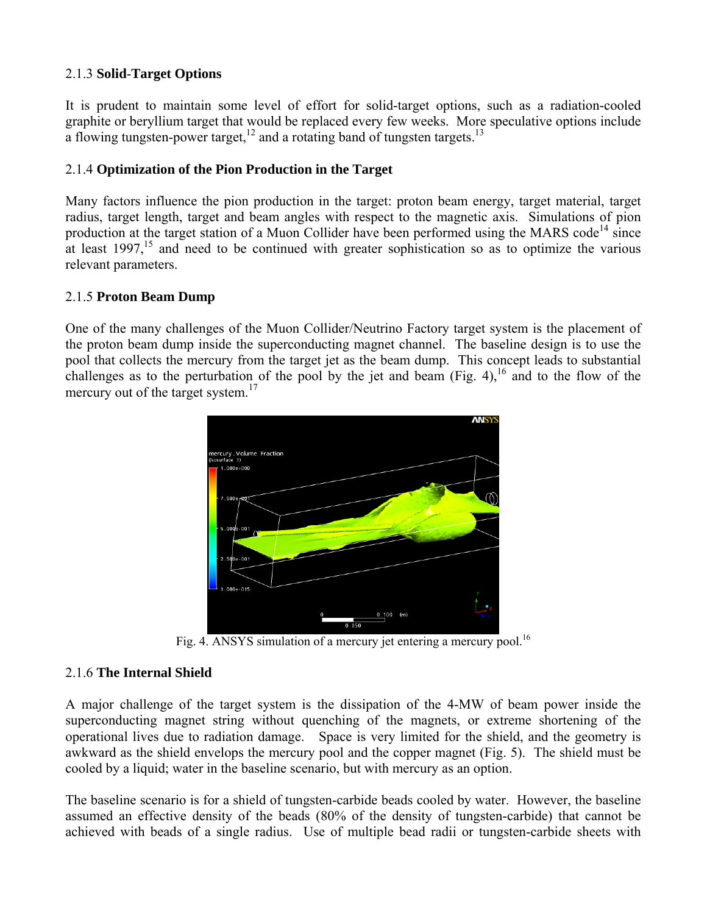## 2.1.3 **Solid**-**Target Options**

It is prudent to maintain some level of effort for solid-target options, such as a radiation-cooled graphite or beryllium target that would be replaced every few weeks. More speculative options include a flowing tungsten-power target,  $12$  and a rotating band of tungsten targets.<sup>13</sup>

## 2.1.4 **Optimization of the Pion Production in the Target**

Many factors influence the pion production in the target: proton beam energy, target material, target radius, target length, target and beam angles with respect to the magnetic axis. Simulations of pion production at the target station of a Muon Collider have been performed using the MARS code<sup>14</sup> since at least  $1997$ ,<sup>15</sup> and need to be continued with greater sophistication so as to optimize the various relevant parameters.

#### 2.1.5 **Proton Beam Dump**

One of the many challenges of the Muon Collider/Neutrino Factory target system is the placement of the proton beam dump inside the superconducting magnet channel. The baseline design is to use the pool that collects the mercury from the target jet as the beam dump. This concept leads to substantial challenges as to the perturbation of the pool by the jet and beam (Fig. 4),  $^{16}$  and to the flow of the mercury out of the target system. $17$ 



Fig. 4. ANSYS simulation of a mercury jet entering a mercury pool.<sup>16</sup>

## 2.1.6 **The Internal Shield**

A major challenge of the target system is the dissipation of the 4-MW of beam power inside the superconducting magnet string without quenching of the magnets, or extreme shortening of the operational lives due to radiation damage. Space is very limited for the shield, and the geometry is awkward as the shield envelops the mercury pool and the copper magnet (Fig. 5). The shield must be cooled by a liquid; water in the baseline scenario, but with mercury as an option.

The baseline scenario is for a shield of tungsten-carbide beads cooled by water. However, the baseline assumed an effective density of the beads (80% of the density of tungsten-carbide) that cannot be achieved with beads of a single radius. Use of multiple bead radii or tungsten-carbide sheets with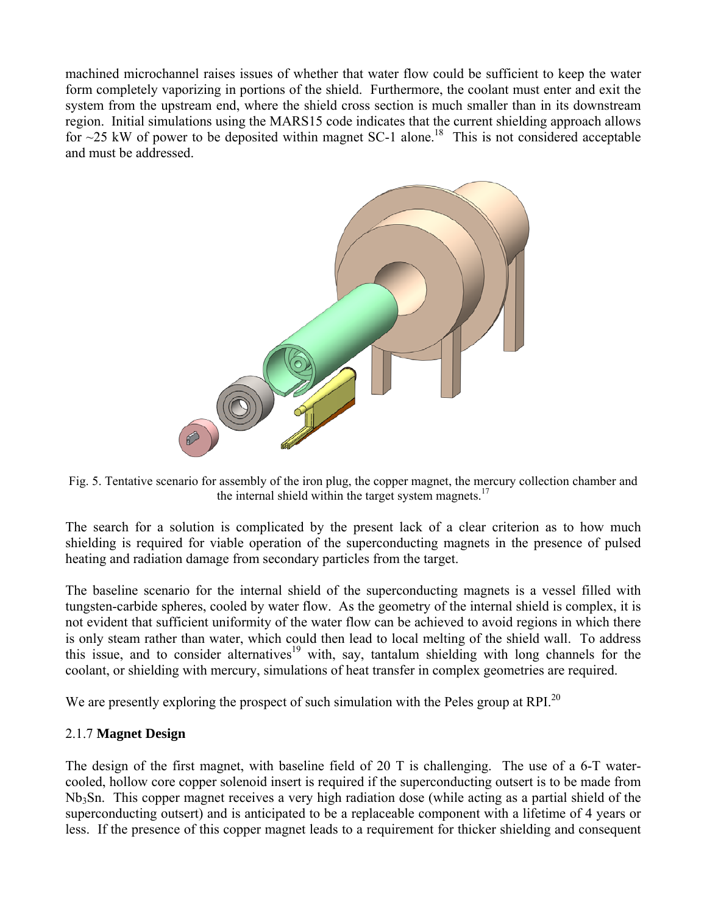machined microchannel raises issues of whether that water flow could be sufficient to keep the water form completely vaporizing in portions of the shield. Furthermore, the coolant must enter and exit the system from the upstream end, where the shield cross section is much smaller than in its downstream region. Initial simulations using the MARS15 code indicates that the current shielding approach allows for  $\sim$ 25 kW of power to be deposited within magnet SC-1 alone.<sup>18</sup> This is not considered acceptable and must be addressed.



Fig. 5. Tentative scenario for assembly of the iron plug, the copper magnet, the mercury collection chamber and the internal shield within the target system magnets.<sup>17</sup>

The search for a solution is complicated by the present lack of a clear criterion as to how much shielding is required for viable operation of the superconducting magnets in the presence of pulsed heating and radiation damage from secondary particles from the target.

The baseline scenario for the internal shield of the superconducting magnets is a vessel filled with tungsten-carbide spheres, cooled by water flow. As the geometry of the internal shield is complex, it is not evident that sufficient uniformity of the water flow can be achieved to avoid regions in which there is only steam rather than water, which could then lead to local melting of the shield wall. To address this issue, and to consider alternatives<sup>19</sup> with, say, tantalum shielding with long channels for the coolant, or shielding with mercury, simulations of heat transfer in complex geometries are required.

We are presently exploring the prospect of such simulation with the Peles group at RPI.<sup>20</sup>

## 2.1.7 **Magnet Design**

The design of the first magnet, with baseline field of 20 T is challenging. The use of a 6-T watercooled, hollow core copper solenoid insert is required if the superconducting outsert is to be made from Nb3Sn. This copper magnet receives a very high radiation dose (while acting as a partial shield of the superconducting outsert) and is anticipated to be a replaceable component with a lifetime of 4 years or less. If the presence of this copper magnet leads to a requirement for thicker shielding and consequent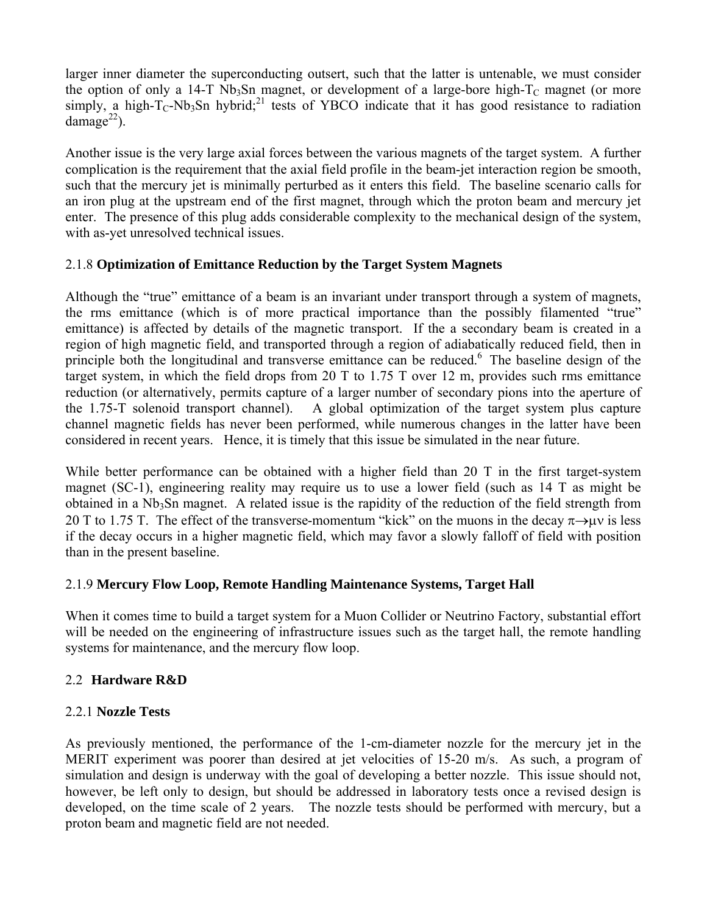larger inner diameter the superconducting outsert, such that the latter is untenable, we must consider the option of only a 14-T Nb<sub>3</sub>Sn magnet, or development of a large-bore high- $T_c$  magnet (or more simply, a high- $T_c$ -Nb<sub>3</sub>Sn hybrid;<sup>21</sup> tests of YBCO indicate that it has good resistance to radiation damage<sup>22</sup>).

Another issue is the very large axial forces between the various magnets of the target system. A further complication is the requirement that the axial field profile in the beam-jet interaction region be smooth, such that the mercury jet is minimally perturbed as it enters this field. The baseline scenario calls for an iron plug at the upstream end of the first magnet, through which the proton beam and mercury jet enter. The presence of this plug adds considerable complexity to the mechanical design of the system, with as-yet unresolved technical issues.

## 2.1.8 **Optimization of Emittance Reduction by the Target System Magnets**

Although the "true" emittance of a beam is an invariant under transport through a system of magnets, the rms emittance (which is of more practical importance than the possibly filamented "true" emittance) is affected by details of the magnetic transport. If the a secondary beam is created in a region of high magnetic field, and transported through a region of adiabatically reduced field, then in principle both the longitudinal and transverse emittance can be reduced.<sup>6</sup> The baseline design of the target system, in which the field drops from 20 T to 1.75 T over 12 m, provides such rms emittance reduction (or alternatively, permits capture of a larger number of secondary pions into the aperture of the 1.75-T solenoid transport channel). A global optimization of the target system plus capture channel magnetic fields has never been performed, while numerous changes in the latter have been considered in recent years. Hence, it is timely that this issue be simulated in the near future.

While better performance can be obtained with a higher field than 20 T in the first target-system magnet (SC-1), engineering reality may require us to use a lower field (such as 14 T as might be obtained in a Nb<sub>3</sub>Sn magnet. A related issue is the rapidity of the reduction of the field strength from 20 T to 1.75 T. The effect of the transverse-momentum "kick" on the muons in the decay  $\pi \rightarrow \mu \nu$  is less if the decay occurs in a higher magnetic field, which may favor a slowly falloff of field with position than in the present baseline.

## 2.1.9 **Mercury Flow Loop, Remote Handling Maintenance Systems, Target Hall**

When it comes time to build a target system for a Muon Collider or Neutrino Factory, substantial effort will be needed on the engineering of infrastructure issues such as the target hall, the remote handling systems for maintenance, and the mercury flow loop.

## 2.2 **Hardware R&D**

## 2.2.1 **Nozzle Tests**

As previously mentioned, the performance of the 1-cm-diameter nozzle for the mercury jet in the MERIT experiment was poorer than desired at jet velocities of 15-20 m/s. As such, a program of simulation and design is underway with the goal of developing a better nozzle. This issue should not, however, be left only to design, but should be addressed in laboratory tests once a revised design is developed, on the time scale of 2 years. The nozzle tests should be performed with mercury, but a proton beam and magnetic field are not needed.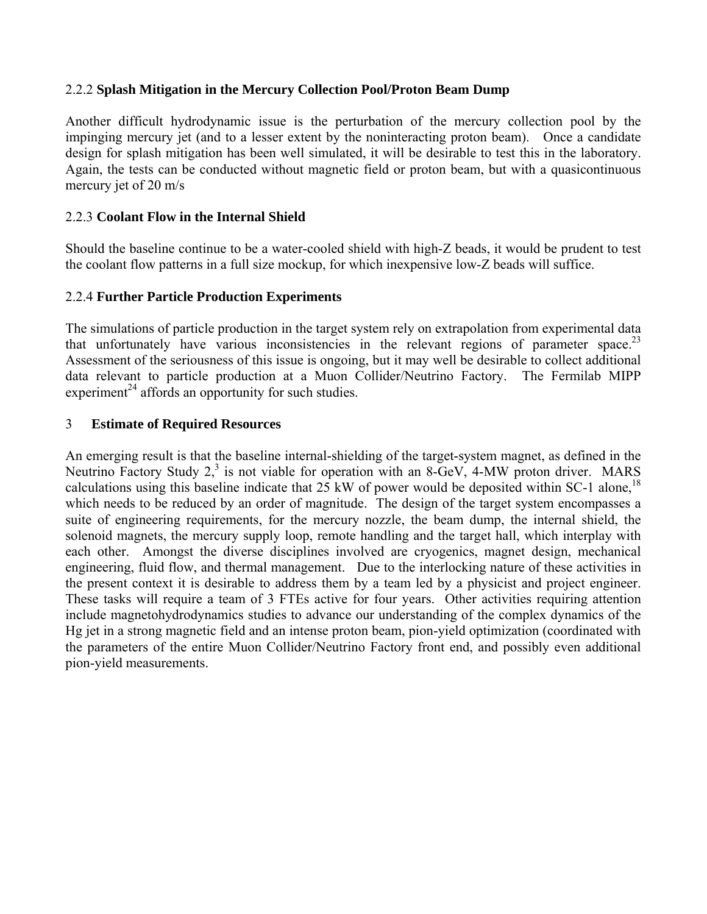#### 2.2.2 **Splash Mitigation in the Mercury Collection Pool/Proton Beam Dump**

Another difficult hydrodynamic issue is the perturbation of the mercury collection pool by the impinging mercury jet (and to a lesser extent by the noninteracting proton beam). Once a candidate design for splash mitigation has been well simulated, it will be desirable to test this in the laboratory. Again, the tests can be conducted without magnetic field or proton beam, but with a quasicontinuous mercury jet of 20 m/s

#### 2.2.3 **Coolant Flow in the Internal Shield**

Should the baseline continue to be a water-cooled shield with high-Z beads, it would be prudent to test the coolant flow patterns in a full size mockup, for which inexpensive low-Z beads will suffice.

#### 2.2.4 **Further Particle Production Experiments**

The simulations of particle production in the target system rely on extrapolation from experimental data that unfortunately have various inconsistencies in the relevant regions of parameter space.<sup>23</sup> Assessment of the seriousness of this issue is ongoing, but it may well be desirable to collect additional data relevant to particle production at a Muon Collider/Neutrino Factory. The Fermilab MIPP experiment<sup>24</sup> affords an opportunity for such studies.

#### 3 **Estimate of Required Resources**

An emerging result is that the baseline internal-shielding of the target-system magnet, as defined in the Neutrino Factory Study  $2<sup>3</sup>$  is not viable for operation with an 8-GeV, 4-MW proton driver. MARS calculations using this baseline indicate that  $25 \text{ kW}$  of power would be deposited within SC-1 alone,<sup>18</sup> which needs to be reduced by an order of magnitude. The design of the target system encompasses a suite of engineering requirements, for the mercury nozzle, the beam dump, the internal shield, the solenoid magnets, the mercury supply loop, remote handling and the target hall, which interplay with each other. Amongst the diverse disciplines involved are cryogenics, magnet design, mechanical engineering, fluid flow, and thermal management. Due to the interlocking nature of these activities in the present context it is desirable to address them by a team led by a physicist and project engineer. These tasks will require a team of 3 FTEs active for four years. Other activities requiring attention include magnetohydrodynamics studies to advance our understanding of the complex dynamics of the Hg jet in a strong magnetic field and an intense proton beam, pion-yield optimization (coordinated with the parameters of the entire Muon Collider/Neutrino Factory front end, and possibly even additional pion-yield measurements.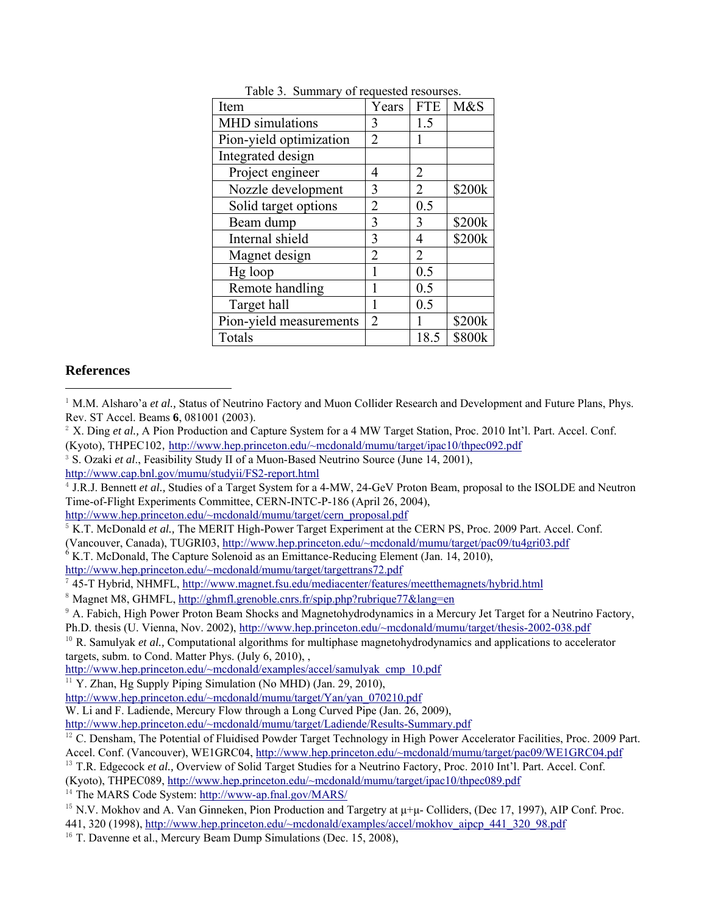| Item                    | Years          | <b>FTE</b>     | M&S    |
|-------------------------|----------------|----------------|--------|
| <b>MHD</b> simulations  | 3              | 1.5            |        |
| Pion-yield optimization | 2              |                |        |
| Integrated design       |                |                |        |
| Project engineer        | 4              | 2              |        |
| Nozzle development      | 3              | 2              | \$200k |
| Solid target options    | $\overline{2}$ | 0.5            |        |
| Beam dump               | 3              | 3              | \$200k |
| Internal shield         | 3              | 4              | \$200k |
| Magnet design           | 2              | $\overline{2}$ |        |
| Hg loop                 | 1              | 0.5            |        |
| Remote handling         | 1              | 0.5            |        |
| Target hall             | 1              | 0.5            |        |
| Pion-yield measurements | 2              | 1              | \$200k |
| Totals                  |                | 18.5           | \$800k |

Table 3. Summary of requested resourses.

#### **References**

l

- <sup>2</sup> X. Ding *et al.*, A Pion Production and Capture System for a 4 MW Target Station, Proc. 2010 Int'l. Part. Accel. Conf. (Kyoto), THPEC102, http://www.hep.princeton.edu/~mcdonald/mumu/target/ipac10/thpec092.pdf 3 S. Ozaki *et al*., Feasibility Study II of a Muon-Based Neutrino Source (June 14, 2001),
- http://www.cap.bnl.gov/mumu/studyii/FS2-report.html

<sup>4</sup> J.R.J. Bennett *et al.,* Studies of a Target System for a 4-MW, 24-GeV Proton Beam, proposal to the ISOLDE and Neutron Time-of-Flight Experiments Committee, CERN-INTC-P-186 (April 26, 2004),

http://www.hep.princeton.edu/~mcdonald/mumu/target/cern\_proposal.pdf

(Vancouver, Canada), TUGRI03, http://www.hep.princeton.edu/~mcdonald/mumu/target/pac09/tu4gri03.pdf <sup>6</sup>

 $6$  K.T. McDonald, The Capture Solenoid as an Emittance-Reducing Element (Jan. 14, 2010),

http://www.hep.princeton.edu/~mcdonald/mumu/target/targettrans72.pdf

<sup>7</sup> 45-T Hybrid, NHMFL, http://www.magnet.fsu.edu/mediacenter/features/meetthemagnets/hybrid.html

<sup>8</sup> Magnet M8, GHMFL, http://ghmfl.grenoble.cnrs.fr/spip.php?rubrique77&lang=en

<sup>10</sup> R. Samulyak *et al.*, Computational algorithms for multiphase magnetohydrodynamics and applications to accelerator targets, subm. to Cond. Matter Phys. (July 6, 2010), ,

http://www.hep.princeton.edu/~mcdonald/examples/accel/samulyak\_cmp\_10.pdf

http://www.hep.princeton.edu/~mcdonald/mumu/target/Yan/yan\_070210.pdf

W. Li and F. Ladiende, Mercury Flow through a Long Curved Pipe (Jan. 26, 2009),

http://www.hep.princeton.edu/~mcdonald/mumu/target/Ladiende/Results-Summary.pdf

<sup>12</sup> C. Densham, The Potential of Fluidised Powder Target Technology in High Power Accelerator Facilities, Proc. 2009 Part. Accel. Conf. (Vancouver), WE1GRC04, http://www.hep.princeton.edu/~mcdonald/mumu/target/pac09/WE1GRC04.pdf

<sup>13</sup> T.R. Edgecock *et al.*, Overview of Solid Target Studies for a Neutrino Factory, Proc. 2010 Int'l. Part. Accel. Conf.

(Kyoto), THPEC089, http://www.hep.princeton.edu/~mcdonald/mumu/target/ipac10/thpec089.pdf

<sup>14</sup> The MARS Code System: http://www-ap.fnal.gov/MARS/

441, 320 (1998), http://www.hep.princeton.edu/~mcdonald/examples/accel/mokhov\_aipcp\_441\_320\_98.pdf

 $16$  T. Davenne et al., Mercury Beam Dump Simulations (Dec. 15, 2008),

<sup>&</sup>lt;sup>1</sup> M.M. Alsharo'a *et al.*, Status of Neutrino Factory and Muon Collider Research and Development and Future Plans, Phys. Rev. ST Accel. Beams **6**, 081001 (2003).

<sup>&</sup>lt;sup>5</sup> K.T. McDonald *et al.*, The MERIT High-Power Target Experiment at the CERN PS, Proc. 2009 Part. Accel. Conf.

<sup>&</sup>lt;sup>9</sup> A. Fabich, High Power Proton Beam Shocks and Magnetohydrodynamics in a Mercury Jet Target for a Neutrino Factory, Ph.D. thesis (U. Vienna, Nov. 2002), http://www.hep.princeton.edu/~mcdonald/mumu/target/thesis-2002-038.pdf

<sup>&</sup>lt;sup>11</sup> Y. Zhan, Hg Supply Piping Simulation (No MHD) (Jan. 29, 2010),

<sup>&</sup>lt;sup>15</sup> N.V. Mokhov and A. Van Ginneken, Pion Production and Targetry at  $\mu+\mu$ - Colliders, (Dec 17, 1997), AIP Conf. Proc.